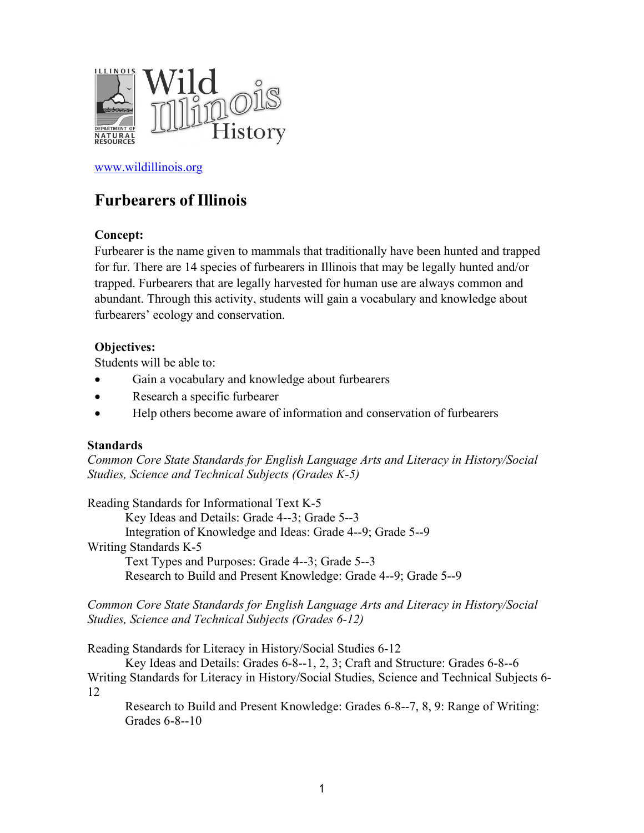

[www.wildillinois.org](http://www.wildillinois.org/)

# **Furbearers of Illinois**

### **Concept:**

Furbearer is the name given to mammals that traditionally have been hunted and trapped for fur. There are 14 species of furbearers in Illinois that may be legally hunted and/or trapped. Furbearers that are legally harvested for human use are always common and abundant. Through this activity, students will gain a vocabulary and knowledge about furbearers' ecology and conservation.

#### **Objectives:**

Students will be able to:

- Gain a vocabulary and knowledge about furbearers
- Research a specific furbearer
- Help others become aware of information and conservation of furbearers

#### **Standards**

*Common Core State Standards for English Language Arts and Literacy in History/Social Studies, Science and Technical Subjects (Grades K-5)*

Reading Standards for Informational Text K-5 Key Ideas and Details: Grade 4--3; Grade 5--3 Integration of Knowledge and Ideas: Grade 4--9; Grade 5--9 Writing Standards K-5 Text Types and Purposes: Grade 4--3; Grade 5--3 Research to Build and Present Knowledge: Grade 4--9; Grade 5--9

*Common Core State Standards for English Language Arts and Literacy in History/Social Studies, Science and Technical Subjects (Grades 6-12)*

Reading Standards for Literacy in History/Social Studies 6-12

Key Ideas and Details: Grades 6-8--1, 2, 3; Craft and Structure: Grades 6-8--6 Writing Standards for Literacy in History/Social Studies, Science and Technical Subjects 6- 12

Research to Build and Present Knowledge: Grades 6-8--7, 8, 9: Range of Writing: Grades 6-8--10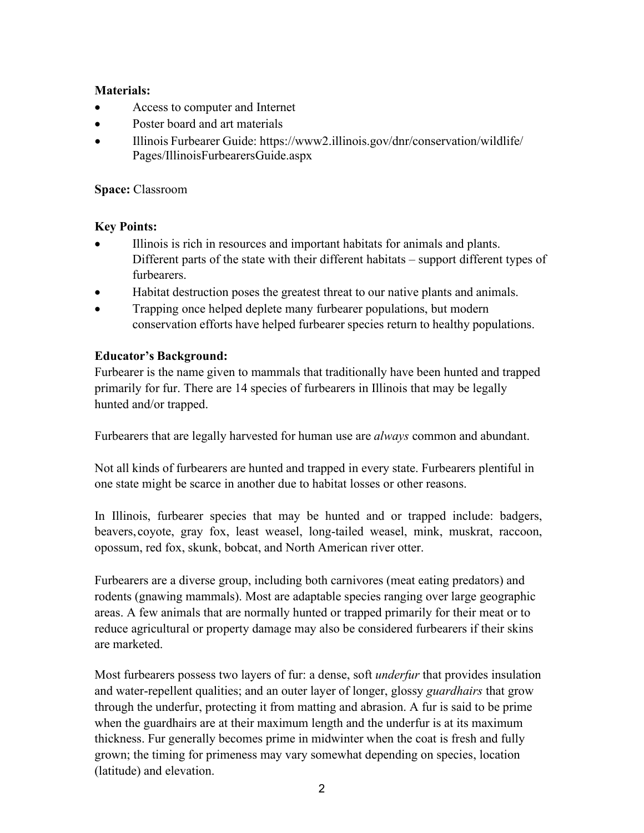### **Materials:**

- Access to computer and Internet
- Poster board and art materials
- Illinois Furbearer Guide: [https://www2.illinois.gov/dnr/conservation/wildlife/](https://www2.illinois.gov/dnr/conservation/wildlife/Pages/IllinoisFurbearersGuide.aspx) [Pages/IllinoisFurbearersGuide.aspx](https://www2.illinois.gov/dnr/conservation/wildlife/Pages/IllinoisFurbearersGuide.aspx)

#### **Space:** Classroom

### **Key Points:**

- Illinois is rich in resources and important habitats for animals and plants. Different parts of the state with their different habitats – support different types of furbearers.
- Habitat destruction poses the greatest threat to our native plants and animals.
- Trapping once helped deplete many furbearer populations, but modern conservation efforts have helped furbearer species return to healthy populations.

### **Educator's Background:**

Furbearer is the name given to mammals that traditionally have been hunted and trapped primarily for fur. There are 14 species of furbearers in Illinois that may be legally hunted and/or trapped.

Furbearers that are legally harvested for human use are *always* common and abundant.

Not all kinds of furbearers are hunted and trapped in every state. Furbearers plentiful in one state might be scarce in another due to habitat losses or other reasons.

In Illinois, furbearer species that may be hunted and or trapped include: badgers, beavers, coyote, gray fox, least weasel, long-tailed weasel, mink, muskrat, raccoon, opossum, red fox, skunk, bobcat, and North American river otter.

Furbearers are a diverse group, including both carnivores (meat eating predators) and rodents (gnawing mammals). Most are adaptable species ranging over large geographic areas. A few animals that are normally hunted or trapped primarily for their meat or to reduce agricultural or property damage may also be considered furbearers if their skins are marketed.

Most furbearers possess two layers of fur: a dense, soft *underfur* that provides insulation and water-repellent qualities; and an outer layer of longer, glossy *guardhairs* that grow through the underfur, protecting it from matting and abrasion. A fur is said to be prime when the guardhairs are at their maximum length and the underfur is at its maximum thickness. Fur generally becomes prime in midwinter when the coat is fresh and fully grown; the timing for primeness may vary somewhat depending on species, location (latitude) and elevation.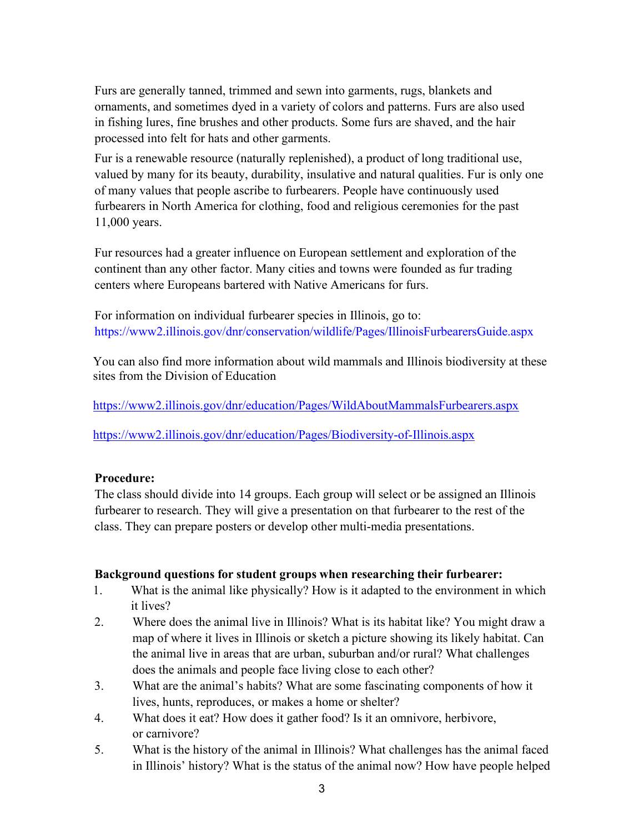Furs are generally tanned, trimmed and sewn into garments, rugs, blankets and ornaments, and sometimes dyed in a variety of colors and patterns. Furs are also used in fishing lures, fine brushes and other products. Some furs are shaved, and the hair processed into felt for hats and other garments.

Fur is a renewable resource (naturally replenished), a product of long traditional use, valued by many for its beauty, durability, insulative and natural qualities. Fur is only one of many values that people ascribe to furbearers. People have continuously used furbearers in North America for clothing, food and religious ceremonies for the past 11,000 years.

Fur resources had a greater influence on European settlement and exploration of the continent than any other factor. Many cities and towns were founded as fur trading centers where Europeans bartered with Native Americans for furs.

For information on individual furbearer species in Illinois, go to: <https://www2.illinois.gov/dnr/conservation/wildlife/Pages/IllinoisFurbearersGuide.aspx>

You can also find more information about wild mammals and Illinois biodiversity at these sites from the Division of Education

<https://www2.illinois.gov/dnr/education/Pages/WildAboutMammalsFurbearers.aspx>

<https://www2.illinois.gov/dnr/education/Pages/Biodiversity-of-Illinois.aspx>

#### **Procedure:**

The class should divide into 14 groups. Each group will select or be assigned an Illinois furbearer to research. They will give a presentation on that furbearer to the rest of the class. They can prepare posters or develop other multi-media presentations.

#### **Background questions for student groups when researching their furbearer:**

- 1. What is the animal like physically? How is it adapted to the environment in which it lives?
- 2. Where does the animal live in Illinois? What is its habitat like? You might draw a map of where it lives in Illinois or sketch a picture showing its likely habitat. Can the animal live in areas that are urban, suburban and/or rural? What challenges does the animals and people face living close to each other?
- 3. What are the animal's habits? What are some fascinating components of how it lives, hunts, reproduces, or makes a home or shelter?
- 4. What does it eat? How does it gather food? Is it an omnivore, herbivore, or carnivore?
- 5. What is the history of the animal in Illinois? What challenges has the animal faced in Illinois' history? What is the status of the animal now? How have people helped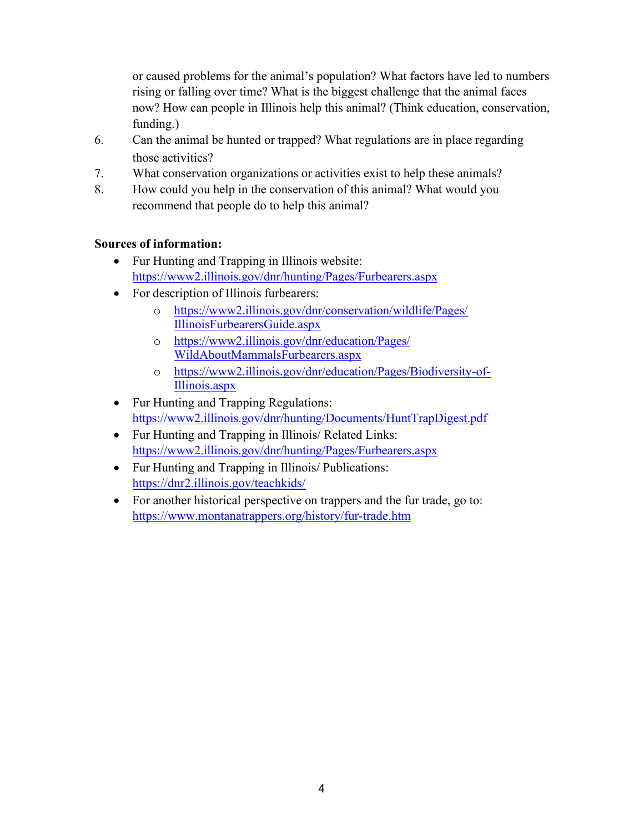or caused problems for the animal's population? What factors have led to numbers rising or falling over time? What is the biggest challenge that the animal faces now? How can people in Illinois help this animal? (Think education, conservation, funding.)

- 6. Can the animal be hunted or trapped? What regulations are in place regarding those activities?
- 7. What conservation organizations or activities exist to help these animals?
- 8. How could you help in the conservation of this animal? What would you recommend that people do to help this animal?

## **Sources of information:**

- Fur Hunting and Trapping in Illinois website: <https://www2.illinois.gov/dnr/hunting/Pages/Furbearers.aspx>
- For description of Illinois furbearers:
	- o [https://www2.illinois.gov/dnr/conservation/wildlife/Pages/](https://www2.illinois.gov/dnr/conservation/wildlife/Pages/%20IllinoisFurbearersGuide.aspx) [IllinoisFurbearersGuide.aspx](https://www2.illinois.gov/dnr/conservation/wildlife/Pages/%20IllinoisFurbearersGuide.aspx)
	- o [https://www2.illinois.gov/dnr/education/Pages/](https://www2.illinois.gov/dnr/education/Pages/%20WildAboutMammalsFurbearers.aspx) [WildAboutMammalsFurbearers.aspx](https://www2.illinois.gov/dnr/education/Pages/%20WildAboutMammalsFurbearers.aspx)
	- o [https://www2.illinois.gov/dnr/education/Pages/Biodiversity-of-](https://www2.illinois.gov/dnr/education/Pages/Biodiversity-of-%20Illinois.aspx)[Illinois.aspx](https://www2.illinois.gov/dnr/education/Pages/Biodiversity-of-%20Illinois.aspx)
- Fur Hunting and Trapping Regulations: <https://www2.illinois.gov/dnr/hunting/Documents/HuntTrapDigest.pdf>
- Fur Hunting and Trapping in Illinois/ Related Links: <https://www2.illinois.gov/dnr/hunting/Pages/Furbearers.aspx>
- Fur Hunting and Trapping in Illinois/ Publications: <https://dnr2.illinois.gov/teachkids/>
- For another historical perspective on trappers and the fur trade, go to: <https://www.montanatrappers.org/history/fur-trade.htm>